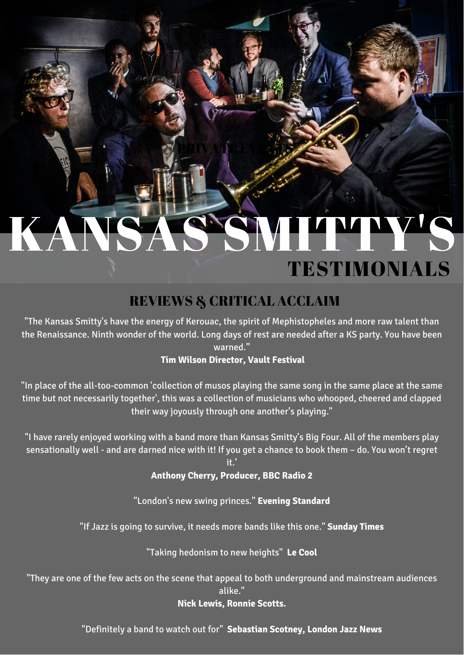# KANSAS'SMITTY'S TESTIMONIALS

PRIVATE EVENTS

## REVIEWS & CRITICAL ACCLAIM

"The Kansas Smitty's have the energy of Kerouac, the spirit of Mephistopheles and more raw talent than the Renaissance. Ninth wonder of the world. Long days of rest are needed after a KS party. You have been warned."

#### **Tim Wilson Director, Vault Festival**

"In place of the all-too-common 'collection of musos playing the same song in the same place at the same time but not necessarily together', this was a collection of musicians who whooped, cheered and clapped their way joyously through one another's playing."

"I have rarely enjoyed working with a band more than Kansas Smitty's Big Four. All of the members play sensationally well - and are darned nice with it! If you get a chance to book them – do. You won't regret

it.'

**Anthony Cherry, Producer, BBC Radio 2**

"London's new swing princes." **Evening Standard**

"If Jazz is going to survive, it needs more bands like this one." **Sunday Times**

"Taking hedonism to new heights" **Le Cool**

"They are one of the few acts on the scene that appeal to both underground and mainstream audiences alike."

#### **Nick Lewis, Ronnie Scotts.**

"Definitely a band to watch out for" **Sebastian Scotney, London Jazz News**